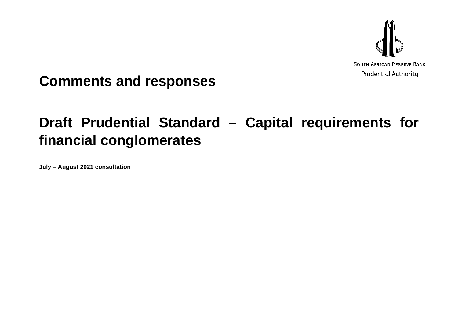

**Comments and responses**

## **Draft Prudential Standard – Capital requirements for financial conglomerates**

**July – August 2021 consultation**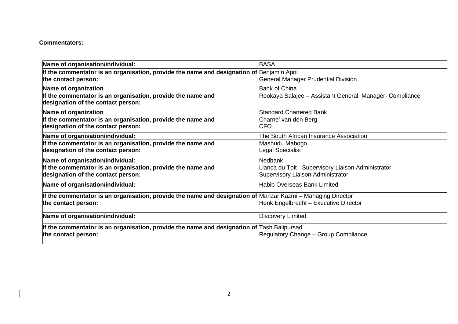## **Commentators:**

| Name of organisation/individual:                                                                            | <b>BASA</b>                                             |
|-------------------------------------------------------------------------------------------------------------|---------------------------------------------------------|
| If the commentator is an organisation, provide the name and designation of Benjamin April                   |                                                         |
| the contact person:                                                                                         | <b>General Manager Prudential Division</b>              |
| Name of organization                                                                                        | <b>Bank of China</b>                                    |
| If the commentator is an organisation, provide the name and                                                 | Rookaya Salajee – Assistant General Manager- Compliance |
| designation of the contact person:                                                                          |                                                         |
| Name of organization                                                                                        | <b>Standard Chartered Bank</b>                          |
| If the commentator is an organisation, provide the name and                                                 | Charne' van den Berg                                    |
| designation of the contact person:                                                                          | <b>CFO</b>                                              |
| Name of organisation/individual:                                                                            | The South African Insurance Association                 |
| If the commentator is an organisation, provide the name and                                                 | Mashudu Mabogo                                          |
| designation of the contact person:                                                                          | egal Specialist                                         |
| Name of organisation/individual:                                                                            | <b>Nedbank</b>                                          |
| If the commentator is an organisation, provide the name and                                                 | ianca du Toit - Supervisory Liaison Administrator       |
| designation of the contact person:                                                                          | Supervisory Liaison Administrator                       |
| Name of organisation/individual:                                                                            | <b>Habib Overseas Bank Limited</b>                      |
| If the commentator is an organisation, provide the name and designation of Manzar Kazmi – Managing Director |                                                         |
| the contact person:                                                                                         | Henk Engelbrecht - Executive Director                   |
| Name of organisation/individual:                                                                            | Discovery Limited                                       |
| If the commentator is an organisation, provide the name and designation of $\Box$ ash Balipursad            |                                                         |
| the contact person:                                                                                         | Regulatory Change - Group Compliance                    |
|                                                                                                             |                                                         |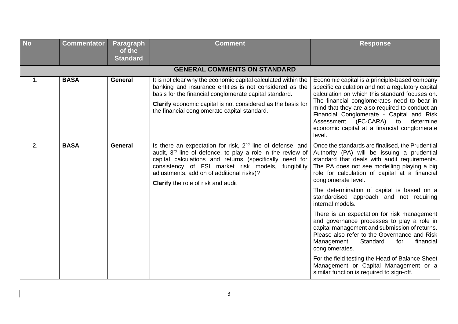| <b>No</b>      | <b>Commentator</b>                  | Paragraph<br>of the<br><b>Standard</b> | <b>Comment</b>                                                                                                                                                                                                                                                                                                                                     | <b>Response</b>                                                                                                                                                                                                                                                                                                                                                                                      |  |  |  |
|----------------|-------------------------------------|----------------------------------------|----------------------------------------------------------------------------------------------------------------------------------------------------------------------------------------------------------------------------------------------------------------------------------------------------------------------------------------------------|------------------------------------------------------------------------------------------------------------------------------------------------------------------------------------------------------------------------------------------------------------------------------------------------------------------------------------------------------------------------------------------------------|--|--|--|
|                | <b>GENERAL COMMENTS ON STANDARD</b> |                                        |                                                                                                                                                                                                                                                                                                                                                    |                                                                                                                                                                                                                                                                                                                                                                                                      |  |  |  |
| $\mathbf{1}$ . | <b>BASA</b>                         | <b>General</b>                         | It is not clear why the economic capital calculated within the<br>banking and insurance entities is not considered as the<br>basis for the financial conglomerate capital standard.<br>Clarify economic capital is not considered as the basis for<br>the financial conglomerate capital standard.                                                 | Economic capital is a principle-based company<br>specific calculation and not a regulatory capital<br>calculation on which this standard focuses on.<br>The financial conglomerates need to bear in<br>mind that they are also required to conduct an<br>Financial Conglomerate - Capital and Risk<br>Assessment (FC-CARA) to<br>determine<br>economic capital at a financial conglomerate<br>level. |  |  |  |
| 2.             | <b>BASA</b><br><b>General</b>       |                                        | Is there an expectation for risk, 2 <sup>nd</sup> line of defense, and<br>audit, $3rd$ line of defence, to play a role in the review of<br>capital calculations and returns (specifically need for<br>consistency of FSI market risk models, fungibility<br>adjustments, add on of additional risks)?<br><b>Clarify</b> the role of risk and audit | Once the standards are finalised, the Prudential<br>Authority (PA) will be issuing a prudential<br>standard that deals with audit requirements.<br>The PA does not see modelling playing a big<br>role for calculation of capital at a financial<br>conglomerate level.                                                                                                                              |  |  |  |
|                |                                     |                                        |                                                                                                                                                                                                                                                                                                                                                    | The determination of capital is based on a<br>standardised approach and not requiring<br>internal models.                                                                                                                                                                                                                                                                                            |  |  |  |
|                |                                     |                                        |                                                                                                                                                                                                                                                                                                                                                    | There is an expectation for risk management<br>and governance processes to play a role in<br>capital management and submission of returns.<br>Please also refer to the Governance and Risk<br>Management<br>Standard<br>for<br>financial<br>conglomerates.                                                                                                                                           |  |  |  |
|                |                                     |                                        |                                                                                                                                                                                                                                                                                                                                                    | For the field testing the Head of Balance Sheet<br>Management or Capital Management or a<br>similar function is required to sign-off.                                                                                                                                                                                                                                                                |  |  |  |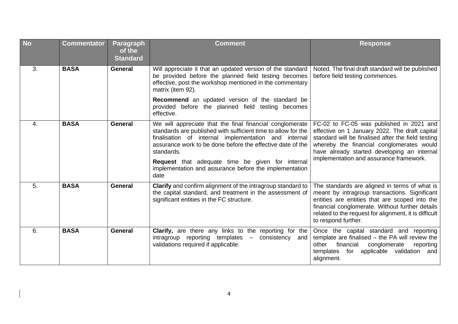| <b>No</b> | <b>Commentator</b> | <b>Paragraph</b><br>of the<br><b>Standard</b> | <b>Comment</b>                                                                                                                                                                                                                                                                                                                                                                             | <b>Response</b>                                                                                                                                                                                                                                                                         |
|-----------|--------------------|-----------------------------------------------|--------------------------------------------------------------------------------------------------------------------------------------------------------------------------------------------------------------------------------------------------------------------------------------------------------------------------------------------------------------------------------------------|-----------------------------------------------------------------------------------------------------------------------------------------------------------------------------------------------------------------------------------------------------------------------------------------|
| 3.        | <b>BASA</b>        | <b>General</b>                                | Will appreciate it that an updated version of the standard<br>be provided before the planned field testing becomes<br>effective, post the workshop mentioned in the commentary<br>matrix (item 92).                                                                                                                                                                                        | Noted. The final draft standard will be published<br>before field testing commences.                                                                                                                                                                                                    |
|           |                    |                                               | Recommend an updated version of the standard be<br>provided before the planned field testing becomes<br>effective.                                                                                                                                                                                                                                                                         |                                                                                                                                                                                                                                                                                         |
| 4.        | <b>BASA</b>        | <b>General</b>                                | We will appreciate that the final financial conglomerate<br>standards are published with sufficient time to allow for the<br>finalisation of internal implementation and internal<br>assurance work to be done before the effective date of the<br>standards.<br><b>Request</b> that adequate time be given for internal<br>implementation and assurance before the implementation<br>date | FC-02 to FC-05 was published in 2021 and<br>effective on 1 January 2022. The draft capital<br>standard will be finalised after the field testing<br>whereby the financial conglomerates would<br>have already started developing an internal<br>implementation and assurance framework. |
| 5.        | <b>BASA</b>        | <b>General</b>                                | Clarify and confirm alignment of the intragroup standard to<br>the capital standard, and treatment in the assessment of<br>significant entities in the FC structure.                                                                                                                                                                                                                       | The standards are aligned in terms of what is<br>meant by intragroup transactions. Significant<br>entities are entities that are scoped into the<br>financial conglomerate. Without further details<br>related to the request for alignment, it is difficult<br>to respond further.     |
| 6.        | <b>BASA</b>        | <b>General</b>                                | <b>Clarify,</b> are there any links to the reporting for the<br>$intragroup$ reporting templates $-$<br>consistency and<br>validations required if applicable.                                                                                                                                                                                                                             | Once the capital standard and reporting<br>template are finalised $-$ the PA will review the<br>financial<br>conglomerate<br>other<br>reporting<br>applicable validation<br>templates<br>for<br>and<br>alignment.                                                                       |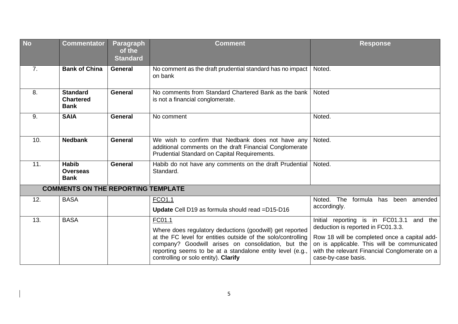| <b>No</b> | <b>Commentator</b>                                 | <b>Paragraph</b><br>of the<br><b>Standard</b> | <b>Comment</b>                                                                                                                                                                                                                                                                                | <b>Response</b>                                                                                                                                                                                                                                       |
|-----------|----------------------------------------------------|-----------------------------------------------|-----------------------------------------------------------------------------------------------------------------------------------------------------------------------------------------------------------------------------------------------------------------------------------------------|-------------------------------------------------------------------------------------------------------------------------------------------------------------------------------------------------------------------------------------------------------|
| 7.        | <b>Bank of China</b>                               | <b>General</b>                                | No comment as the draft prudential standard has no impact<br>on bank                                                                                                                                                                                                                          | Noted.                                                                                                                                                                                                                                                |
| 8.        | <b>Standard</b><br><b>Chartered</b><br><b>Bank</b> | <b>General</b>                                | No comments from Standard Chartered Bank as the bank<br>is not a financial conglomerate.                                                                                                                                                                                                      | Noted                                                                                                                                                                                                                                                 |
| 9.        | <b>SAIA</b>                                        | <b>General</b>                                | No comment                                                                                                                                                                                                                                                                                    | Noted.                                                                                                                                                                                                                                                |
| 10.       | <b>Nedbank</b>                                     | <b>General</b>                                | We wish to confirm that Nedbank does not have any<br>additional comments on the draft Financial Conglomerate<br>Prudential Standard on Capital Requirements.                                                                                                                                  | Noted.                                                                                                                                                                                                                                                |
| 11.       | <b>Habib</b><br><b>Overseas</b><br><b>Bank</b>     | <b>General</b>                                | Habib do not have any comments on the draft Prudential<br>Standard.                                                                                                                                                                                                                           | Noted.                                                                                                                                                                                                                                                |
|           | <b>COMMENTS ON THE REPORTING TEMPLATE</b>          |                                               |                                                                                                                                                                                                                                                                                               |                                                                                                                                                                                                                                                       |
| 12.       | <b>BASA</b>                                        |                                               | FCO1.1<br>Update Cell D19 as formula should read = D15-D16                                                                                                                                                                                                                                    | Noted. The<br>formula has been<br>amended<br>accordingly.                                                                                                                                                                                             |
| 13.       | <b>BASA</b>                                        |                                               | FC01.1<br>Where does regulatory deductions (goodwill) get reported<br>at the FC level for entities outside of the solo/controlling<br>company? Goodwill arises on consolidation, but the<br>reporting seems to be at a standalone entity level (e.g.,<br>controlling or solo entity). Clarify | Initial reporting is in FC01.3.1 and the<br>deduction is reported in FC01.3.3.<br>Row 18 will be completed once a capital add-<br>on is applicable. This will be communicated<br>with the relevant Financial Conglomerate on a<br>case-by-case basis. |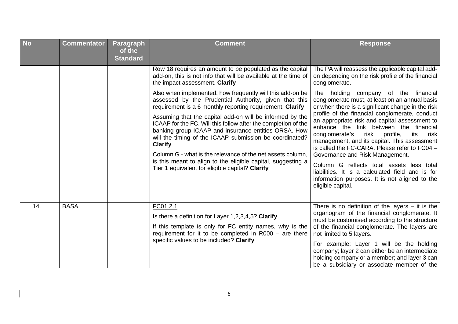| <b>No</b> | <b>Commentator</b> | <b>Paragraph</b><br>of the<br><b>Standard</b> | <b>Comment</b>                                                                                                                                                                                                                                                                                                                                                                                                                                                                                                                                                                                                                                                                                                                                                                                      | <b>Response</b>                                                                                                                                                                                                                                                                                                                                                                                                                                                                                                                                                                                                                                                                                              |
|-----------|--------------------|-----------------------------------------------|-----------------------------------------------------------------------------------------------------------------------------------------------------------------------------------------------------------------------------------------------------------------------------------------------------------------------------------------------------------------------------------------------------------------------------------------------------------------------------------------------------------------------------------------------------------------------------------------------------------------------------------------------------------------------------------------------------------------------------------------------------------------------------------------------------|--------------------------------------------------------------------------------------------------------------------------------------------------------------------------------------------------------------------------------------------------------------------------------------------------------------------------------------------------------------------------------------------------------------------------------------------------------------------------------------------------------------------------------------------------------------------------------------------------------------------------------------------------------------------------------------------------------------|
|           |                    |                                               | Row 18 requires an amount to be populated as the capital<br>add-on, this is not info that will be available at the time of<br>the impact assessment. Clarify<br>Also when implemented, how frequently will this add-on be<br>assessed by the Prudential Authority, given that this<br>requirement is a 6 monthly reporting requirement. Clarify<br>Assuming that the capital add-on will be informed by the<br>ICAAP for the FC. Will this follow after the completion of the<br>banking group ICAAP and insurance entities ORSA. How<br>will the timing of the ICAAP submission be coordinated?<br><b>Clarify</b><br>Column G - what is the relevance of the net assets column,<br>is this meant to align to the eligible capital, suggesting a<br>Tier 1 equivalent for eligible capital? Clarify | The PA will reassess the applicable capital add-<br>on depending on the risk profile of the financial<br>conglomerate.<br>The holding company of the financial<br>conglomerate must, at least on an annual basis<br>or when there is a significant change in the risk<br>profile of the financial conglomerate, conduct<br>an appropriate risk and capital assessment to<br>enhance the link between the financial<br>risk<br>profile,<br>its<br>conglomerate's<br>risk<br>management, and its capital. This assessment<br>is called the FC-CARA. Please refer to FC04 -<br>Governance and Risk Management.<br>Column G reflects total assets less total<br>liabilities. It is a calculated field and is for |
| 14.       | <b>BASA</b>        |                                               | FC01.2.1<br>Is there a definition for Layer 1,2,3,4,5? Clarify<br>If this template is only for FC entity names, why is the<br>requirement for it to be completed in $R000 -$ are there<br>specific values to be included? Clarify                                                                                                                                                                                                                                                                                                                                                                                                                                                                                                                                                                   | information purposes. It is not aligned to the<br>eligible capital.<br>There is no definition of the layers $-$ it is the<br>organogram of the financial conglomerate. It<br>must be customised according to the structure<br>of the financial conglomerate. The layers are<br>not limited to 5 layers.<br>For example: Layer 1 will be the holding<br>company; layer 2 can either be an intermediate<br>holding company or a member; and layer 3 can<br>be a subsidiary or associate member of the                                                                                                                                                                                                          |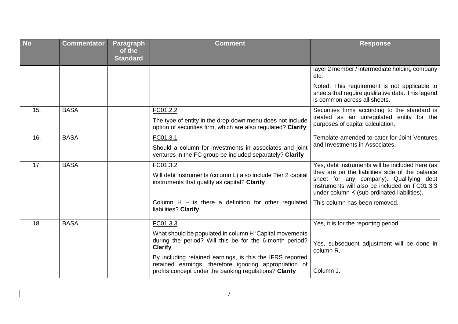| <b>No</b> | <b>Commentator</b> | <b>Paragraph</b><br>of the<br><b>Standard</b> | <b>Comment</b>                                                                                                                                                                | <b>Response</b>                                                                                                                                                                                                                               |
|-----------|--------------------|-----------------------------------------------|-------------------------------------------------------------------------------------------------------------------------------------------------------------------------------|-----------------------------------------------------------------------------------------------------------------------------------------------------------------------------------------------------------------------------------------------|
|           |                    |                                               |                                                                                                                                                                               | layer 2 member / intermediate holding company<br>etc.                                                                                                                                                                                         |
|           |                    |                                               |                                                                                                                                                                               | Noted. This requirement is not applicable to<br>sheets that require qualitative data. This legend<br>is common across all sheets.                                                                                                             |
| 15.       | <b>BASA</b>        |                                               | FC01.2.2                                                                                                                                                                      | Securities firms according to the standard is                                                                                                                                                                                                 |
|           |                    |                                               | The type of entity in the drop-down menu does not include<br>option of securities firm, which are also regulated? Clarify                                                     | treated as an unregulated entity for the<br>purposes of capital calculation.                                                                                                                                                                  |
| 16.       | <b>BASA</b>        |                                               | FC01.3.1                                                                                                                                                                      | Template amended to cater for Joint Ventures                                                                                                                                                                                                  |
|           |                    |                                               | Should a column for investments in associates and joint<br>ventures in the FC group be included separately? Clarify                                                           | and Investments in Associates.                                                                                                                                                                                                                |
| 17.       | <b>BASA</b>        |                                               | FC01.3.2<br>Will debt instruments (column L) also include Tier 2 capital<br>instruments that qualify as capital? Clarify                                                      | Yes, debt instruments will be included here (as<br>they are on the liabilities side of the balance<br>sheet for any company). Qualifying debt<br>instruments will also be included on FC01.3.3<br>under column K (sub-ordinated liabilities). |
|           |                    |                                               | Column $H -$ is there a definition for other regulated<br>liabilities? Clarify                                                                                                | This column has been removed.                                                                                                                                                                                                                 |
| 18.       | <b>BASA</b>        |                                               | FC01.3.3                                                                                                                                                                      | Yes, it is for the reporting period.                                                                                                                                                                                                          |
|           |                    |                                               | What should be populated in column H 'Capital movements<br>during the period? Will this be for the 6-month period?<br><b>Clarify</b>                                          | Yes, subsequent adjustment will be done in<br>column R.                                                                                                                                                                                       |
|           |                    |                                               | By including retained earnings, is this the IFRS reported<br>retained earnings, therefore ignoring appropriation of<br>profits concept under the banking regulations? Clarify | Column J.                                                                                                                                                                                                                                     |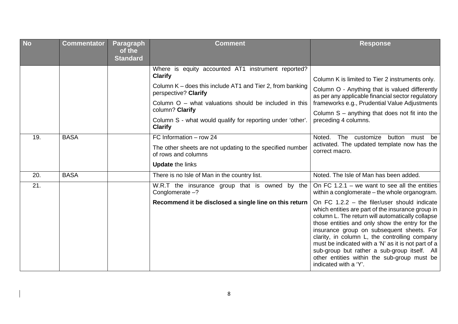| <b>No</b> | <b>Commentator</b> | <b>Paragraph</b><br>of the<br><b>Standard</b> | <b>Comment</b>                                                                                                                                                                                                                                                                                                          | <b>Response</b>                                                                                                                                                                                                                                                                                                                                                                                                                                                                                                                                                                          |
|-----------|--------------------|-----------------------------------------------|-------------------------------------------------------------------------------------------------------------------------------------------------------------------------------------------------------------------------------------------------------------------------------------------------------------------------|------------------------------------------------------------------------------------------------------------------------------------------------------------------------------------------------------------------------------------------------------------------------------------------------------------------------------------------------------------------------------------------------------------------------------------------------------------------------------------------------------------------------------------------------------------------------------------------|
|           |                    |                                               | Where is equity accounted AT1 instrument reported?<br><b>Clarify</b><br>Column K – does this include AT1 and Tier 2, from banking<br>perspective? Clarify<br>Column $O -$ what valuations should be included in this<br>column? Clarify<br>Column S - what would qualify for reporting under 'other'.<br><b>Clarify</b> | Column K is limited to Tier 2 instruments only.<br>Column O - Anything that is valued differently<br>as per any applicable financial sector regulatory<br>frameworks e.g., Prudential Value Adjustments<br>Column $S$ – anything that does not fit into the<br>preceding 4 columns.                                                                                                                                                                                                                                                                                                      |
| 19.       | <b>BASA</b>        |                                               | FC Information - row 24<br>The other sheets are not updating to the specified number<br>of rows and columns<br><b>Update the links</b>                                                                                                                                                                                  | customize<br>Noted.<br>The<br>button must<br>be<br>activated. The updated template now has the<br>correct macro.                                                                                                                                                                                                                                                                                                                                                                                                                                                                         |
| 20.       | <b>BASA</b>        |                                               | There is no Isle of Man in the country list.                                                                                                                                                                                                                                                                            | Noted. The Isle of Man has been added.                                                                                                                                                                                                                                                                                                                                                                                                                                                                                                                                                   |
| 21.       |                    |                                               | W.R.T the insurance group that is owned by the<br>Conglomerate $-?$<br>Recommend it be disclosed a single line on this return                                                                                                                                                                                           | On FC 1.2.1 – we want to see all the entities<br>within a conglomerate – the whole organogram.<br>On FC $1.2.2$ – the filer/user should indicate<br>which entities are part of the insurance group in<br>column L. The return will automatically collapse<br>those entities and only show the entry for the<br>insurance group on subsequent sheets. For<br>clarity, in column L, the controlling company<br>must be indicated with a 'N' as it is not part of a<br>sub-group but rather a sub-group itself. All<br>other entities within the sub-group must be<br>indicated with a 'Y'. |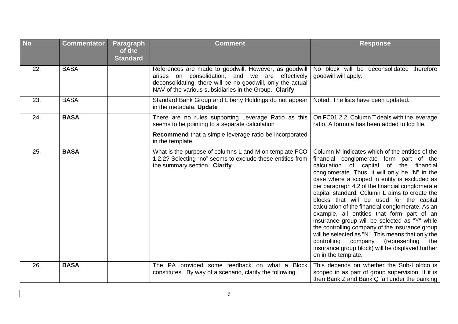| <b>No</b> | <b>Commentator</b> | Paragraph<br>of the<br><b>Standard</b> | <b>Comment</b>                                                                                                                                                                                                                   | <b>Response</b>                                                                                                                                                                                                                                                                                                                                                                                                                                                                                                                                                                                                                                                                                                                                                                |
|-----------|--------------------|----------------------------------------|----------------------------------------------------------------------------------------------------------------------------------------------------------------------------------------------------------------------------------|--------------------------------------------------------------------------------------------------------------------------------------------------------------------------------------------------------------------------------------------------------------------------------------------------------------------------------------------------------------------------------------------------------------------------------------------------------------------------------------------------------------------------------------------------------------------------------------------------------------------------------------------------------------------------------------------------------------------------------------------------------------------------------|
| 22.       | <b>BASA</b>        |                                        | References are made to goodwill. However, as goodwill<br>arises on consolidation, and we are effectively<br>deconsolidating, there will be no goodwill, only the actual<br>NAV of the various subsidiaries in the Group. Clarify | No block will be deconsolidated therefore<br>goodwill will apply.                                                                                                                                                                                                                                                                                                                                                                                                                                                                                                                                                                                                                                                                                                              |
| 23.       | <b>BASA</b>        |                                        | Standard Bank Group and Liberty Holdings do not appear<br>in the metadata. Update                                                                                                                                                | Noted. The lists have been updated.                                                                                                                                                                                                                                                                                                                                                                                                                                                                                                                                                                                                                                                                                                                                            |
| 24.       | <b>BASA</b>        |                                        | There are no rules supporting Leverage Ratio as this<br>seems to be pointing to a separate calculation                                                                                                                           | On FC01.2.2, Column T deals with the leverage<br>ratio. A formula has been added to log file.                                                                                                                                                                                                                                                                                                                                                                                                                                                                                                                                                                                                                                                                                  |
|           |                    |                                        | Recommend that a simple leverage ratio be incorporated<br>in the template.                                                                                                                                                       |                                                                                                                                                                                                                                                                                                                                                                                                                                                                                                                                                                                                                                                                                                                                                                                |
| 25.       | <b>BASA</b>        |                                        | What is the purpose of columns L and M on template FCO<br>1.2.2? Selecting "no" seems to exclude these entities from<br>the summary section. Clarify                                                                             | Column M indicates which of the entities of the<br>financial conglomerate form part of the<br>calculation of capital of the financial<br>conglomerate. Thus, it will only be "N" in the<br>case where a scoped in entity is excluded as<br>per paragraph 4.2 of the financial conglomerate<br>capital standard. Column L aims to create the<br>blocks that will be used for the capital<br>calculation of the financial conglomerate. As an<br>example, all entities that form part of an<br>insurance group will be selected as "Y" while<br>the controlling company of the insurance group<br>will be selected as "N". This means that only the<br>controlling<br>company<br>(representing<br>the<br>insurance group block) will be displayed further<br>on in the template. |
| 26.       | <b>BASA</b>        |                                        | The PA provided some feedback on what a Block<br>constitutes. By way of a scenario, clarify the following.                                                                                                                       | This depends on whether the Sub-Holdco is<br>scoped in as part of group supervision. If it is<br>then Bank Z and Bank Q fall under the banking                                                                                                                                                                                                                                                                                                                                                                                                                                                                                                                                                                                                                                 |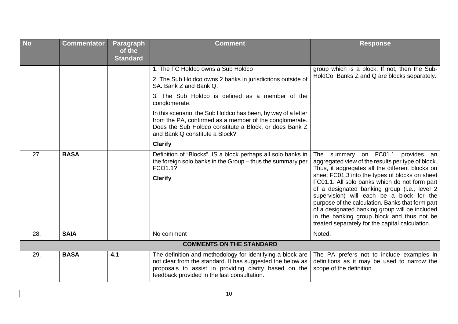| <b>No</b> | <b>Commentator</b> | Paragraph<br>of the<br><b>Standard</b> | <b>Comment</b>                                                                                                                                                                                                                   | <b>Response</b>                                                                                                                                                                                                                                                                                                                                                                                     |
|-----------|--------------------|----------------------------------------|----------------------------------------------------------------------------------------------------------------------------------------------------------------------------------------------------------------------------------|-----------------------------------------------------------------------------------------------------------------------------------------------------------------------------------------------------------------------------------------------------------------------------------------------------------------------------------------------------------------------------------------------------|
|           |                    |                                        | 1. The FC Holdco owns a Sub Holdco                                                                                                                                                                                               | group which is a block. If not, then the Sub-                                                                                                                                                                                                                                                                                                                                                       |
|           |                    |                                        | 2. The Sub Holdco owns 2 banks in jurisdictions outside of<br>SA. Bank Z and Bank Q.                                                                                                                                             | HoldCo, Banks Z and Q are blocks separately.                                                                                                                                                                                                                                                                                                                                                        |
|           |                    |                                        | 3. The Sub Holdco is defined as a member of the<br>conglomerate.                                                                                                                                                                 |                                                                                                                                                                                                                                                                                                                                                                                                     |
|           |                    |                                        | In this scenario, the Sub Holdco has been, by way of a letter<br>from the PA, confirmed as a member of the conglomerate.<br>Does the Sub Holdco constitute a Block, or does Bank Z<br>and Bank Q constitute a Block?             |                                                                                                                                                                                                                                                                                                                                                                                                     |
|           |                    |                                        | <b>Clarify</b>                                                                                                                                                                                                                   |                                                                                                                                                                                                                                                                                                                                                                                                     |
| 27.       | <b>BASA</b>        |                                        | Definition of "Blocks". IS a block perhaps all solo banks in<br>the foreign solo banks in the Group - thus the summary per<br>FCO1.1?                                                                                            | summary on FC01.1<br>provides an<br>The<br>aggregated view of the results per type of block.<br>Thus, it aggregates all the different blocks on                                                                                                                                                                                                                                                     |
|           |                    |                                        | <b>Clarify</b>                                                                                                                                                                                                                   | sheet FC01.3 into the types of blocks on sheet<br>FC01.1. All solo banks which do not form part<br>of a designated banking group (i.e., level 2<br>supervision) will each be a block for the<br>purpose of the calculation. Banks that form part<br>of a designated banking group will be included<br>in the banking group block and thus not be<br>treated separately for the capital calculation. |
| 28.       | <b>SAIA</b>        |                                        | No comment                                                                                                                                                                                                                       | Noted.                                                                                                                                                                                                                                                                                                                                                                                              |
|           |                    |                                        | <b>COMMENTS ON THE STANDARD</b>                                                                                                                                                                                                  |                                                                                                                                                                                                                                                                                                                                                                                                     |
| 29.       | <b>BASA</b>        | 4.1                                    | The definition and methodology for identifying a block are<br>not clear from the standard. It has suggested the below as<br>proposals to assist in providing clarity based on the<br>feedback provided in the last consultation. | The PA prefers not to include examples in<br>definitions as it may be used to narrow the<br>scope of the definition.                                                                                                                                                                                                                                                                                |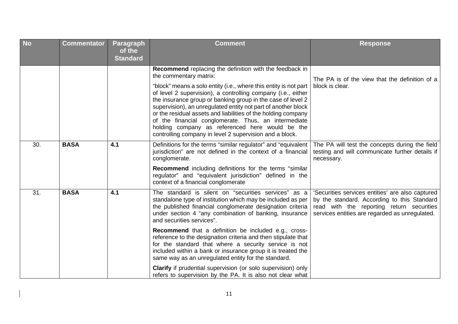| <b>No</b> | <b>Commentator</b> | <b>Paragraph</b><br>of the<br><b>Standard</b> | <b>Comment</b>                                                                                                                                                                                                                                                                                                                                                                                                                                                                                                                                                                               | <b>Response</b>                                                                                                                                                                                |
|-----------|--------------------|-----------------------------------------------|----------------------------------------------------------------------------------------------------------------------------------------------------------------------------------------------------------------------------------------------------------------------------------------------------------------------------------------------------------------------------------------------------------------------------------------------------------------------------------------------------------------------------------------------------------------------------------------------|------------------------------------------------------------------------------------------------------------------------------------------------------------------------------------------------|
|           |                    |                                               | Recommend replacing the definition with the feedback in<br>the commentary matrix:<br>"block" means a solo entity (i.e., where this entity is not part<br>of level 2 supervision), a controlling company (i.e., either<br>the insurance group or banking group in the case of level 2<br>supervision), an unregulated entity not part of another block<br>or the residual assets and liabilities of the holding company<br>of the financial conglomerate. Thus, an intermediate<br>holding company as referenced here would be the<br>controlling company in level 2 supervision and a block. | The PA is of the view that the definition of a<br>block is clear.                                                                                                                              |
| 30.       | <b>BASA</b>        | 4.1                                           | Definitions for the terms "similar regulator" and "equivalent<br>jurisdiction" are not defined in the context of a financial<br>conglomerate.<br><b>Recommend</b> including definitions for the terms "similar<br>regulator" and "equivalent jurisdiction" defined in the<br>context of a financial conglomerate                                                                                                                                                                                                                                                                             | The PA will test the concepts during the field<br>testing and will communicate further details if<br>necessary.                                                                                |
| 31.       | <b>BASA</b>        | 4.1                                           | The standard is silent on "securities services" as a<br>standalone type of institution which may be included as per<br>the published financial conglomerate designation criteria<br>under section 4 "any combination of banking, insurance<br>and securities services".                                                                                                                                                                                                                                                                                                                      | 'Securities services entities' are also captured<br>by the standard. According to this Standard<br>read with the reporting return securities<br>services entities are regarded as unregulated. |
|           |                    |                                               | <b>Recommend</b> that a definition be included e.g., cross-<br>reference to the designation criteria and then stipulate that<br>for the standard that where a security service is not<br>included within a bank or insurance group it is treated the<br>same way as an unregulated entity for the standard.                                                                                                                                                                                                                                                                                  |                                                                                                                                                                                                |
|           |                    |                                               | Clarify if prudential supervision (or solo supervision) only<br>refers to supervision by the PA. It is also not clear what                                                                                                                                                                                                                                                                                                                                                                                                                                                                   |                                                                                                                                                                                                |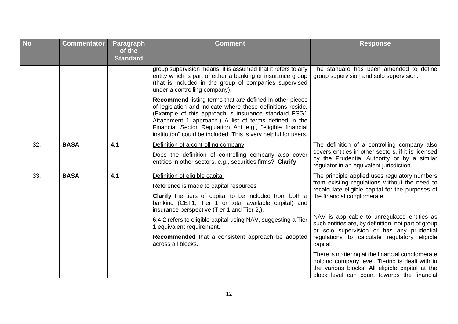| <b>No</b> | <b>Commentator</b> | <b>Paragraph</b><br>of the<br><b>Standard</b> | <b>Comment</b>                                                                                                                                                                                                                                                                                                                                                                                                              | <b>Response</b>                                                                                                                                                                                                                                                                                                                                                                                   |
|-----------|--------------------|-----------------------------------------------|-----------------------------------------------------------------------------------------------------------------------------------------------------------------------------------------------------------------------------------------------------------------------------------------------------------------------------------------------------------------------------------------------------------------------------|---------------------------------------------------------------------------------------------------------------------------------------------------------------------------------------------------------------------------------------------------------------------------------------------------------------------------------------------------------------------------------------------------|
|           |                    |                                               | group supervision means, it is assumed that it refers to any<br>entity which is part of either a banking or insurance group<br>(that is included in the group of companies supervised<br>under a controlling company).                                                                                                                                                                                                      | The standard has been amended to define<br>group supervision and solo supervision.                                                                                                                                                                                                                                                                                                                |
|           |                    |                                               | <b>Recommend</b> listing terms that are defined in other pieces<br>of legislation and indicate where these definitions reside.<br>(Example of this approach is insurance standard FSG1<br>Attachment 1 approach.) A list of terms defined in the<br>Financial Sector Regulation Act e.g., "eligible financial<br>institution" could be included. This is very helpful for users.                                            |                                                                                                                                                                                                                                                                                                                                                                                                   |
| 32.       | <b>BASA</b>        | 4.1                                           | Definition of a controlling company<br>Does the definition of controlling company also cover<br>entities in other sectors, e.g., securities firms? Clarify                                                                                                                                                                                                                                                                  | The definition of a controlling company also<br>covers entities in other sectors, if it is licensed<br>by the Prudential Authority or by a similar<br>regulator in an equivalent jurisdiction.                                                                                                                                                                                                    |
| 33.       | <b>BASA</b>        | 4.1                                           | Definition of eligible capital<br>Reference is made to capital resources<br><b>Clarify</b> the tiers of capital to be included from both a<br>banking (CET1, Tier 1 or total available capital) and<br>insurance perspective (Tier 1 and Tier 2,).<br>6.4.2 refers to eligible capital using NAV, suggesting a Tier<br>1 equivalent requirement.<br>Recommended that a consistent approach be adopted<br>across all blocks. | The principle applied uses regulatory numbers<br>from existing regulations without the need to<br>recalculate eligible capital for the purposes of<br>the financial conglomerate.<br>NAV is applicable to unregulated entities as<br>such entities are, by definition, not part of group<br>or solo supervision or has any prudential<br>regulations to calculate regulatory eligible<br>capital. |
|           |                    |                                               |                                                                                                                                                                                                                                                                                                                                                                                                                             | There is no tiering at the financial conglomerate<br>holding company level. Tiering is dealt with in<br>the various blocks. All eligible capital at the<br>block level can count towards the financial                                                                                                                                                                                            |

 $\begin{array}{c} \hline \end{array}$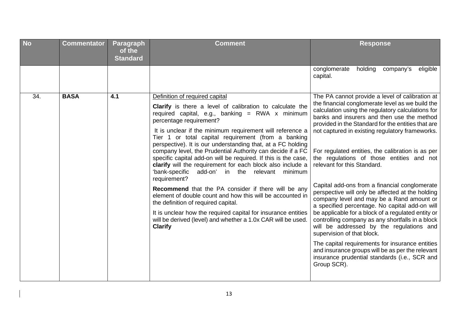| <b>No</b> | <b>Commentator</b> | <b>Paragraph</b><br>of the<br><b>Standard</b> | <b>Comment</b>                                                                                                                                                                                                                                                                                                                                                                                                                                                                                                                                                                                                                                                                                                                                                                                                                                                                                                                                      | <b>Response</b>                                                                                                                                                                                                                                                                                                                                                                                                                                                                                                                                                                                                                                                                                                                                                                                                                                                                                                                                                                                                 |
|-----------|--------------------|-----------------------------------------------|-----------------------------------------------------------------------------------------------------------------------------------------------------------------------------------------------------------------------------------------------------------------------------------------------------------------------------------------------------------------------------------------------------------------------------------------------------------------------------------------------------------------------------------------------------------------------------------------------------------------------------------------------------------------------------------------------------------------------------------------------------------------------------------------------------------------------------------------------------------------------------------------------------------------------------------------------------|-----------------------------------------------------------------------------------------------------------------------------------------------------------------------------------------------------------------------------------------------------------------------------------------------------------------------------------------------------------------------------------------------------------------------------------------------------------------------------------------------------------------------------------------------------------------------------------------------------------------------------------------------------------------------------------------------------------------------------------------------------------------------------------------------------------------------------------------------------------------------------------------------------------------------------------------------------------------------------------------------------------------|
|           |                    |                                               |                                                                                                                                                                                                                                                                                                                                                                                                                                                                                                                                                                                                                                                                                                                                                                                                                                                                                                                                                     | holding company's<br>conglomerate<br>eligible<br>capital.                                                                                                                                                                                                                                                                                                                                                                                                                                                                                                                                                                                                                                                                                                                                                                                                                                                                                                                                                       |
| 34.       | <b>BASA</b>        | 4.1                                           | Definition of required capital<br><b>Clarify</b> is there a level of calibration to calculate the<br>required capital, e.g., banking = RWA x minimum<br>percentage requirement?<br>It is unclear if the minimum requirement will reference a<br>Tier 1 or total capital requirement (from a banking<br>perspective). It is our understanding that, at a FC holding<br>company level, the Prudential Authority can decide if a FC<br>specific capital add-on will be required. If this is the case,<br>clarify will the requirement for each block also include a<br>'bank-specific add-on' in the relevant<br>minimum<br>requirement?<br>Recommend that the PA consider if there will be any<br>element of double count and how this will be accounted in<br>the definition of required capital.<br>It is unclear how the required capital for insurance entities<br>will be derived (level) and whether a 1.0x CAR will be used.<br><b>Clarify</b> | The PA cannot provide a level of calibration at<br>the financial conglomerate level as we build the<br>calculation using the regulatory calculations for<br>banks and insurers and then use the method<br>provided in the Standard for the entities that are<br>not captured in existing regulatory frameworks.<br>For regulated entities, the calibration is as per<br>the regulations of those entities and not<br>relevant for this Standard.<br>Capital add-ons from a financial conglomerate<br>perspective will only be affected at the holding<br>company level and may be a Rand amount or<br>a specified percentage. No capital add-on will<br>be applicable for a block of a regulated entity or<br>controlling company as any shortfalls in a block<br>will be addressed by the regulations and<br>supervision of that block.<br>The capital requirements for insurance entities<br>and insurance groups will be as per the relevant<br>insurance prudential standards (i.e., SCR and<br>Group SCR). |

 $\begin{array}{c} \hline \end{array}$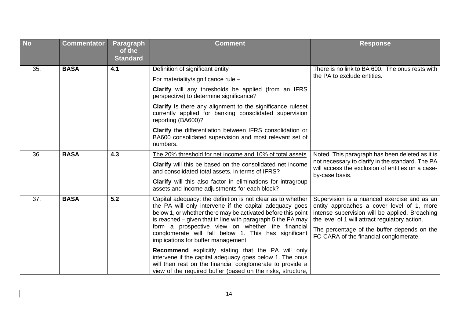| <b>No</b> | <b>Commentator</b> | Paragraph<br>of the<br><b>Standard</b> | <b>Comment</b>                                                                                                                                                                                                                                                                                                                                                    | <b>Response</b>                                                                                                                                                                                                                                                                        |
|-----------|--------------------|----------------------------------------|-------------------------------------------------------------------------------------------------------------------------------------------------------------------------------------------------------------------------------------------------------------------------------------------------------------------------------------------------------------------|----------------------------------------------------------------------------------------------------------------------------------------------------------------------------------------------------------------------------------------------------------------------------------------|
| 35.       | <b>BASA</b>        | 4.1                                    | Definition of significant entity                                                                                                                                                                                                                                                                                                                                  | There is no link to BA 600. The onus rests with                                                                                                                                                                                                                                        |
|           |                    |                                        | For materiality/significance rule -                                                                                                                                                                                                                                                                                                                               | the PA to exclude entities.                                                                                                                                                                                                                                                            |
|           |                    |                                        | <b>Clarify</b> will any thresholds be applied (from an IFRS<br>perspective) to determine significance?                                                                                                                                                                                                                                                            |                                                                                                                                                                                                                                                                                        |
|           |                    |                                        | <b>Clarify</b> Is there any alignment to the significance ruleset<br>currently applied for banking consolidated supervision<br>reporting (BA600)?                                                                                                                                                                                                                 |                                                                                                                                                                                                                                                                                        |
|           |                    |                                        | <b>Clarify</b> the differentiation between IFRS consolidation or<br>BA600 consolidated supervision and most relevant set of<br>numbers.                                                                                                                                                                                                                           |                                                                                                                                                                                                                                                                                        |
| 36.       | <b>BASA</b>        | 4.3                                    | The 20% threshold for net income and 10% of total assets                                                                                                                                                                                                                                                                                                          | Noted. This paragraph has been deleted as it is<br>not necessary to clarify in the standard. The PA<br>will access the exclusion of entities on a case-<br>by-case basis.                                                                                                              |
|           |                    |                                        | Clarify will this be based on the consolidated net income<br>and consolidated total assets, in terms of IFRS?                                                                                                                                                                                                                                                     |                                                                                                                                                                                                                                                                                        |
|           |                    |                                        | <b>Clarify</b> will this also factor in eliminations for intragroup<br>assets and income adjustments for each block?                                                                                                                                                                                                                                              |                                                                                                                                                                                                                                                                                        |
| 37.       | <b>BASA</b>        | 5.2                                    | Capital adequacy: the definition is not clear as to whether<br>the PA will only intervene if the capital adequacy goes<br>below 1, or whether there may be activated before this point<br>is reached – given that in line with paragraph 5 the PA may<br>form a prospective view on whether the financial<br>conglomerate will fall below 1. This has significant | Supervision is a nuanced exercise and as an<br>entity approaches a cover level of 1, more<br>intense supervision will be applied. Breaching<br>the level of 1 will attract regulatory action.<br>The percentage of the buffer depends on the<br>FC-CARA of the financial conglomerate. |
|           |                    |                                        | implications for buffer management.<br><b>Recommend</b> explicitly stating that the PA will only<br>intervene if the capital adequacy goes below 1. The onus<br>will then rest on the financial conglomerate to provide a<br>view of the required buffer (based on the risks, structure,                                                                          |                                                                                                                                                                                                                                                                                        |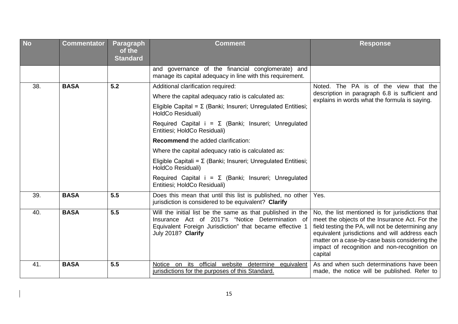| <b>No</b> | <b>Commentator</b> | Paragraph<br>of the<br><b>Standard</b> | <b>Comment</b>                                                                                                                                                                                                                                                                                                                                                                                                                                                                        | <b>Response</b>                                                                                                                                                                                                                                                                                                        |
|-----------|--------------------|----------------------------------------|---------------------------------------------------------------------------------------------------------------------------------------------------------------------------------------------------------------------------------------------------------------------------------------------------------------------------------------------------------------------------------------------------------------------------------------------------------------------------------------|------------------------------------------------------------------------------------------------------------------------------------------------------------------------------------------------------------------------------------------------------------------------------------------------------------------------|
|           |                    |                                        | and governance of the financial conglomerate) and<br>manage its capital adequacy in line with this requirement.                                                                                                                                                                                                                                                                                                                                                                       |                                                                                                                                                                                                                                                                                                                        |
| 38.       | <b>BASA</b>        | 5.2                                    | Additional clarification required:<br>Where the capital adequacy ratio is calculated as:<br>Eligible Capital = $\Sigma$ (Banki; Insureri; Unregulated Entitiesi;<br>HoldCo Residuali)<br>Required Capital $i = \Sigma$ (Banki; Insureri; Unregulated<br>Entitiesi; HoldCo Residuali)<br><b>Recommend the added clarification:</b><br>Where the capital adequacy ratio is calculated as:<br>Eligible Capitali = $\Sigma$ (Banki; Insureri; Unregulated Entitiesi;<br>HoldCo Residuali) | Noted. The PA is of the view that the<br>description in paragraph 6.8 is sufficient and<br>explains in words what the formula is saying.                                                                                                                                                                               |
|           |                    |                                        | Required Capital $i = \Sigma$ (Banki; Insureri; Unregulated<br>Entitiesi; HoldCo Residuali)                                                                                                                                                                                                                                                                                                                                                                                           |                                                                                                                                                                                                                                                                                                                        |
| 39.       | <b>BASA</b>        | 5.5                                    | Does this mean that until this list is published, no other<br>jurisdiction is considered to be equivalent? Clarify                                                                                                                                                                                                                                                                                                                                                                    | Yes.                                                                                                                                                                                                                                                                                                                   |
| 40.       | <b>BASA</b>        | 5.5                                    | Will the initial list be the same as that published in the<br>Insurance Act of 2017's "Notice Determination of<br>Equivalent Foreign Jurisdiction" that became effective 1<br>July 2018? Clarify                                                                                                                                                                                                                                                                                      | No, the list mentioned is for jurisdictions that<br>meet the objects of the Insurance Act. For the<br>field testing the PA, will not be determining any<br>equivalent jurisdictions and will address each<br>matter on a case-by-case basis considering the<br>impact of recognition and non-recognition on<br>capital |
| 41.       | <b>BASA</b>        | 5.5                                    | official website determine<br>Notice on its<br>equivalent<br>jurisdictions for the purposes of this Standard.                                                                                                                                                                                                                                                                                                                                                                         | As and when such determinations have been<br>made, the notice will be published. Refer to                                                                                                                                                                                                                              |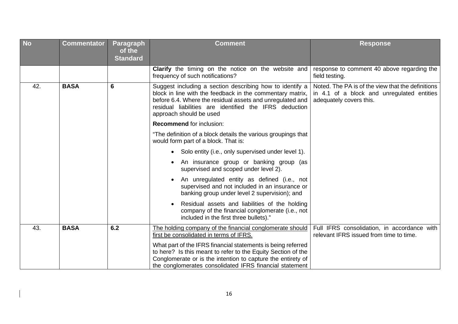| <b>No</b> | <b>Commentator</b> | Paragraph<br>of the<br><b>Standard</b> | <b>Comment</b>                                                                                                                                                                                                                                                          | <b>Response</b>                                                                                                            |
|-----------|--------------------|----------------------------------------|-------------------------------------------------------------------------------------------------------------------------------------------------------------------------------------------------------------------------------------------------------------------------|----------------------------------------------------------------------------------------------------------------------------|
|           |                    |                                        | Clarify the timing on the notice on the website and<br>frequency of such notifications?                                                                                                                                                                                 | response to comment 40 above regarding the<br>field testing.                                                               |
| 42.       | <b>BASA</b>        | 6                                      | Suggest including a section describing how to identify a<br>block in line with the feedback in the commentary matrix,<br>before 6.4. Where the residual assets and unregulated and<br>residual liabilities are identified the IFRS deduction<br>approach should be used | Noted. The PA is of the view that the definitions<br>in 4.1 of a block and unregulated entities<br>adequately covers this. |
|           |                    |                                        | <b>Recommend for inclusion:</b>                                                                                                                                                                                                                                         |                                                                                                                            |
|           |                    |                                        | "The definition of a block details the various groupings that<br>would form part of a block. That is:                                                                                                                                                                   |                                                                                                                            |
|           |                    |                                        | • Solo entity (i.e., only supervised under level 1).                                                                                                                                                                                                                    |                                                                                                                            |
|           |                    |                                        | An insurance group or banking group (as<br>supervised and scoped under level 2).                                                                                                                                                                                        |                                                                                                                            |
|           |                    |                                        | An unregulated entity as defined (i.e., not<br>supervised and not included in an insurance or<br>banking group under level 2 supervision); and                                                                                                                          |                                                                                                                            |
|           |                    |                                        | Residual assets and liabilities of the holding<br>company of the financial conglomerate (i.e., not<br>included in the first three bullets)."                                                                                                                            |                                                                                                                            |
| 43.       | <b>BASA</b>        | 6.2                                    | The holding company of the financial conglomerate should<br>first be consolidated in terms of IFRS.                                                                                                                                                                     | Full IFRS consolidation, in accordance with<br>relevant IFRS issued from time to time.                                     |
|           |                    |                                        | What part of the IFRS financial statements is being referred<br>to here? Is this meant to refer to the Equity Section of the<br>Conglomerate or is the intention to capture the entirety of<br>the conglomerates consolidated IFRS financial statement                  |                                                                                                                            |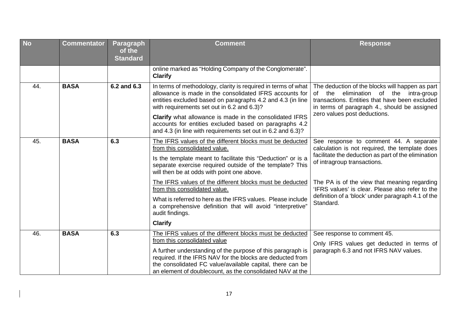| <b>No</b> | <b>Commentator</b> | <b>Paragraph</b><br>of the<br><b>Standard</b> | <b>Comment</b>                                                                                                                                                                                                                                                                                                                                                                                                                                                                                                                    | <b>Response</b>                                                                                                                                                                                                                                                                                                                                       |
|-----------|--------------------|-----------------------------------------------|-----------------------------------------------------------------------------------------------------------------------------------------------------------------------------------------------------------------------------------------------------------------------------------------------------------------------------------------------------------------------------------------------------------------------------------------------------------------------------------------------------------------------------------|-------------------------------------------------------------------------------------------------------------------------------------------------------------------------------------------------------------------------------------------------------------------------------------------------------------------------------------------------------|
|           |                    |                                               | online marked as "Holding Company of the Conglomerate".<br><b>Clarify</b>                                                                                                                                                                                                                                                                                                                                                                                                                                                         |                                                                                                                                                                                                                                                                                                                                                       |
| 44.       | <b>BASA</b>        | 6.2 and 6.3                                   | In terms of methodology, clarity is required in terms of what<br>allowance is made in the consolidated IFRS accounts for<br>entities excluded based on paragraphs 4.2 and 4.3 (in line<br>with requirements set out in 6.2 and 6.3)?<br><b>Clarify</b> what allowance is made in the consolidated IFRS<br>accounts for entities excluded based on paragraphs 4.2<br>and 4.3 (in line with requirements set out in 6.2 and 6.3)?                                                                                                   | The deduction of the blocks will happen as part<br>elimination of the intra-group<br>of the<br>transactions. Entities that have been excluded<br>in terms of paragraph 4., should be assigned<br>zero values post deductions.                                                                                                                         |
| 45.       | <b>BASA</b>        | 6.3                                           | The IFRS values of the different blocks must be deducted<br>from this consolidated value.<br>Is the template meant to facilitate this "Deduction" or is a<br>separate exercise required outside of the template? This<br>will then be at odds with point one above.<br>The IFRS values of the different blocks must be deducted<br>from this consolidated value.<br>What is referred to here as the IFRS values. Please include<br>a comprehensive definition that will avoid "interpretive"<br>audit findings.<br><b>Clarify</b> | See response to comment 44. A separate<br>calculation is not required, the template does<br>facilitate the deduction as part of the elimination<br>of intragroup transactions.<br>The PA is of the view that meaning regarding<br>'IFRS values' is clear. Please also refer to the<br>definition of a 'block' under paragraph 4.1 of the<br>Standard. |
| 46.       | <b>BASA</b>        | 6.3                                           | The IFRS values of the different blocks must be deducted<br>from this consolidated value<br>A further understanding of the purpose of this paragraph is<br>required. If the IFRS NAV for the blocks are deducted from<br>the consolidated FC value/available capital, there can be<br>an element of doublecount, as the consolidated NAV at the                                                                                                                                                                                   | See response to comment 45.<br>Only IFRS values get deducted in terms of<br>paragraph 6.3 and not IFRS NAV values.                                                                                                                                                                                                                                    |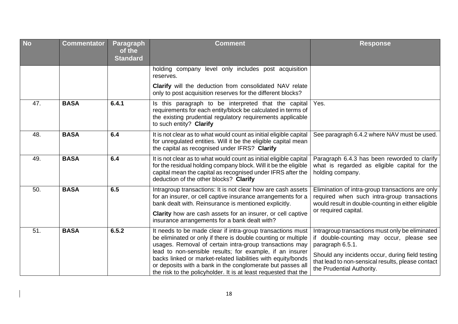| <b>No</b> | <b>Commentator</b> | <b>Paragraph</b><br>of the<br><b>Standard</b> | <b>Comment</b>                                                                                                                                                                                                                                                                                                                                                                                                                                      | <b>Response</b>                                                                                                                                                                                                                                       |
|-----------|--------------------|-----------------------------------------------|-----------------------------------------------------------------------------------------------------------------------------------------------------------------------------------------------------------------------------------------------------------------------------------------------------------------------------------------------------------------------------------------------------------------------------------------------------|-------------------------------------------------------------------------------------------------------------------------------------------------------------------------------------------------------------------------------------------------------|
|           |                    |                                               | holding company level only includes post acquisition<br>reserves.                                                                                                                                                                                                                                                                                                                                                                                   |                                                                                                                                                                                                                                                       |
|           |                    |                                               | <b>Clarify</b> will the deduction from consolidated NAV relate<br>only to post acquisition reserves for the different blocks?                                                                                                                                                                                                                                                                                                                       |                                                                                                                                                                                                                                                       |
| 47.       | <b>BASA</b>        | 6.4.1                                         | Is this paragraph to be interpreted that the capital<br>requirements for each entity/block be calculated in terms of<br>the existing prudential regulatory requirements applicable<br>to such entity? Clarify                                                                                                                                                                                                                                       | Yes.                                                                                                                                                                                                                                                  |
| 48.       | <b>BASA</b>        | 6.4                                           | It is not clear as to what would count as initial eligible capital<br>for unregulated entities. Will it be the eligible capital mean<br>the capital as recognised under IFRS? Clarify                                                                                                                                                                                                                                                               | See paragraph 6.4.2 where NAV must be used.                                                                                                                                                                                                           |
| 49.       | <b>BASA</b>        | 6.4                                           | It is not clear as to what would count as initial eligible capital<br>for the residual holding company block. Will it be the eligible<br>capital mean the capital as recognised under IFRS after the<br>deduction of the other blocks? Clarify                                                                                                                                                                                                      | Paragraph 6.4.3 has been reworded to clarify<br>what is regarded as eligible capital for the<br>holding company.                                                                                                                                      |
| 50.       | <b>BASA</b>        | 6.5                                           | Intragroup transactions: It is not clear how are cash assets<br>for an insurer, or cell captive insurance arrangements for a<br>bank dealt with. Reinsurance is mentioned explicitly.                                                                                                                                                                                                                                                               | Elimination of intra-group transactions are only<br>required when such intra-group transactions<br>would result in double-counting in either eligible<br>or required capital.                                                                         |
|           |                    |                                               | Clarity how are cash assets for an insurer, or cell captive<br>insurance arrangements for a bank dealt with?                                                                                                                                                                                                                                                                                                                                        |                                                                                                                                                                                                                                                       |
| 51.       | <b>BASA</b>        | 6.5.2                                         | It needs to be made clear if intra-group transactions must<br>be eliminated or only if there is double counting or multiple<br>usages. Removal of certain intra-group transactions may<br>lead to non-sensible results; for example, if an insurer<br>backs linked or market-related liabilities with equity/bonds<br>or deposits with a bank in the conglomerate but passes all<br>the risk to the policyholder. It is at least requested that the | Intragroup transactions must only be eliminated<br>if double-counting may occur, please see<br>paragraph 6.5.1.<br>Should any incidents occur, during field testing<br>that lead to non-sensical results, please contact<br>the Prudential Authority. |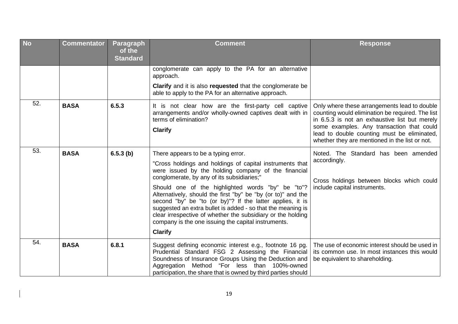| <b>No</b> | <b>Commentator</b> | Paragraph<br>of the<br><b>Standard</b> | <b>Comment</b>                                                                                                                                                                                                                                                                                                                                                                                                                                                                                                                                                                                | <b>Response</b>                                                                                                                                                                                                                                                                                 |
|-----------|--------------------|----------------------------------------|-----------------------------------------------------------------------------------------------------------------------------------------------------------------------------------------------------------------------------------------------------------------------------------------------------------------------------------------------------------------------------------------------------------------------------------------------------------------------------------------------------------------------------------------------------------------------------------------------|-------------------------------------------------------------------------------------------------------------------------------------------------------------------------------------------------------------------------------------------------------------------------------------------------|
|           |                    |                                        | conglomerate can apply to the PA for an alternative<br>approach.<br>Clarify and it is also requested that the conglomerate be<br>able to apply to the PA for an alternative approach.                                                                                                                                                                                                                                                                                                                                                                                                         |                                                                                                                                                                                                                                                                                                 |
| 52.       | <b>BASA</b>        | 6.5.3                                  | It is not clear how are the first-party cell captive<br>arrangements and/or wholly-owned captives dealt with in<br>terms of elimination?<br><b>Clarify</b>                                                                                                                                                                                                                                                                                                                                                                                                                                    | Only where these arrangements lead to double<br>counting would elimination be required. The list<br>in 6.5.3 is not an exhaustive list but merely<br>some examples. Any transaction that could<br>lead to double counting must be eliminated,<br>whether they are mentioned in the list or not. |
| 53.       | <b>BASA</b>        | 6.5.3(b)                               | There appears to be a typing error.<br>"Cross holdings and holdings of capital instruments that<br>were issued by the holding company of the financial<br>conglomerate, by any of its subsidiaries;"<br>Should one of the highlighted words "by" be "to"?<br>Alternatively, should the first "by" be "by (or to)" and the<br>second "by" be "to (or by)"? If the latter applies, it is<br>suggested an extra bullet is added - so that the meaning is<br>clear irrespective of whether the subsidiary or the holding<br>company is the one issuing the capital instruments.<br><b>Clarify</b> | Noted. The Standard has been amended<br>accordingly.<br>Cross holdings between blocks which could<br>include capital instruments.                                                                                                                                                               |
| 54.       | <b>BASA</b>        | 6.8.1                                  | Suggest defining economic interest e.g., footnote 16 pg.<br>Prudential Standard FSG 2 Assessing the Financial<br>Soundness of Insurance Groups Using the Deduction and<br>Aggregation Method "For less than 100%-owned<br>participation, the share that is owned by third parties should                                                                                                                                                                                                                                                                                                      | The use of economic interest should be used in<br>its common use. In most instances this would<br>be equivalent to shareholding.                                                                                                                                                                |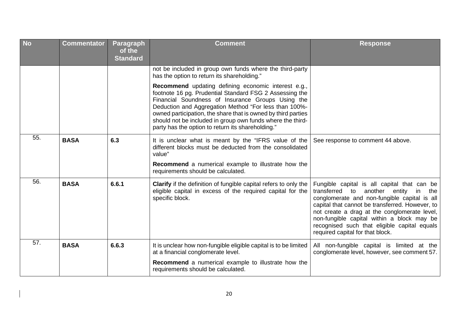| <b>No</b> | <b>Commentator</b> | <b>Paragraph</b><br>of the<br><b>Standard</b> | <b>Comment</b>                                                                                                                                                                                                                                                                                                                                                                                                   | <b>Response</b>                                                                                                                                                                                                                                                                                                                                                                   |
|-----------|--------------------|-----------------------------------------------|------------------------------------------------------------------------------------------------------------------------------------------------------------------------------------------------------------------------------------------------------------------------------------------------------------------------------------------------------------------------------------------------------------------|-----------------------------------------------------------------------------------------------------------------------------------------------------------------------------------------------------------------------------------------------------------------------------------------------------------------------------------------------------------------------------------|
|           |                    |                                               | not be included in group own funds where the third-party<br>has the option to return its shareholding."                                                                                                                                                                                                                                                                                                          |                                                                                                                                                                                                                                                                                                                                                                                   |
|           |                    |                                               | Recommend updating defining economic interest e.g.,<br>footnote 16 pg. Prudential Standard FSG 2 Assessing the<br>Financial Soundness of Insurance Groups Using the<br>Deduction and Aggregation Method "For less than 100%-<br>owned participation, the share that is owned by third parties<br>should not be included in group own funds where the third-<br>party has the option to return its shareholding." |                                                                                                                                                                                                                                                                                                                                                                                   |
| 55.       | <b>BASA</b>        | 6.3                                           | It is unclear what is meant by the "IFRS value of the<br>different blocks must be deducted from the consolidated<br>value"                                                                                                                                                                                                                                                                                       | See response to comment 44 above.                                                                                                                                                                                                                                                                                                                                                 |
|           |                    |                                               | Recommend a numerical example to illustrate how the<br>requirements should be calculated.                                                                                                                                                                                                                                                                                                                        |                                                                                                                                                                                                                                                                                                                                                                                   |
| 56.       | <b>BASA</b>        | 6.6.1                                         | Clarify if the definition of fungible capital refers to only the<br>eligible capital in excess of the required capital for the<br>specific block.                                                                                                                                                                                                                                                                | Fungible capital is all capital that can be<br>transferred to<br>another entity<br>in<br>the<br>conglomerate and non-fungible capital is all<br>capital that cannot be transferred. However, to<br>not create a drag at the conglomerate level,<br>non-fungible capital within a block may be<br>recognised such that eligible capital equals<br>required capital for that block. |
| 57.       | <b>BASA</b>        | 6.6.3                                         | It is unclear how non-fungible eligible capital is to be limited<br>at a financial conglomerate level.                                                                                                                                                                                                                                                                                                           | All non-fungible capital is limited at the<br>conglomerate level, however, see comment 57.                                                                                                                                                                                                                                                                                        |
|           |                    |                                               | Recommend a numerical example to illustrate how the<br>requirements should be calculated.                                                                                                                                                                                                                                                                                                                        |                                                                                                                                                                                                                                                                                                                                                                                   |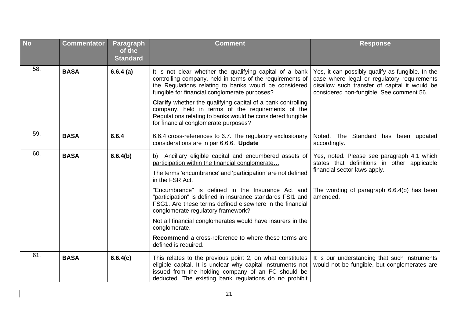| <b>No</b> | <b>Commentator</b> | Paragraph<br>of the<br><b>Standard</b> | <b>Comment</b>                                                                                                                                                                                                                                                                                                                                                                                                                                                                                                                                                                     | <b>Response</b>                                                                                                                                                                              |
|-----------|--------------------|----------------------------------------|------------------------------------------------------------------------------------------------------------------------------------------------------------------------------------------------------------------------------------------------------------------------------------------------------------------------------------------------------------------------------------------------------------------------------------------------------------------------------------------------------------------------------------------------------------------------------------|----------------------------------------------------------------------------------------------------------------------------------------------------------------------------------------------|
| 58.       | <b>BASA</b>        | 6.6.4(a)                               | It is not clear whether the qualifying capital of a bank<br>controlling company, held in terms of the requirements of<br>the Regulations relating to banks would be considered<br>fungible for financial conglomerate purposes?                                                                                                                                                                                                                                                                                                                                                    | Yes, it can possibly qualify as fungible. In the<br>case where legal or regulatory requirements<br>disallow such transfer of capital it would be<br>considered non-fungible. See comment 56. |
|           |                    |                                        | <b>Clarify</b> whether the qualifying capital of a bank controlling<br>company, held in terms of the requirements of the<br>Regulations relating to banks would be considered fungible<br>for financial conglomerate purposes?                                                                                                                                                                                                                                                                                                                                                     |                                                                                                                                                                                              |
| 59.       | <b>BASA</b>        | 6.6.4                                  | 6.6.4 cross-references to 6.7. The regulatory exclusionary<br>considerations are in par 6.6.6. Update                                                                                                                                                                                                                                                                                                                                                                                                                                                                              | Noted. The<br>Standard has been updated<br>accordingly.                                                                                                                                      |
| 60.       | <b>BASA</b>        | 6.6.4(b)                               | Ancillary eligible capital and encumbered assets of<br>b)<br>participation within the financial conglomerate<br>The terms 'encumbrance' and 'participation' are not defined<br>in the FSR Act.<br>"Encumbrance" is defined in the Insurance Act and<br>"participation" is defined in insurance standards FSI1 and<br>FSG1. Are these terms defined elsewhere in the financial<br>conglomerate regulatory framework?<br>Not all financial conglomerates would have insurers in the<br>conglomerate.<br>Recommend a cross-reference to where these terms are<br>defined is required. | Yes, noted. Please see paragraph 4.1 which<br>states that definitions in other applicable<br>financial sector laws apply.<br>The wording of paragraph 6.6.4(b) has been<br>amended.          |
| 61.       | <b>BASA</b>        | 6.6.4(c)                               | This relates to the previous point 2, on what constitutes<br>eligible capital. It is unclear why capital instruments not<br>issued from the holding company of an FC should be<br>deducted. The existing bank regulations do no prohibit                                                                                                                                                                                                                                                                                                                                           | It is our understanding that such instruments<br>would not be fungible, but conglomerates are                                                                                                |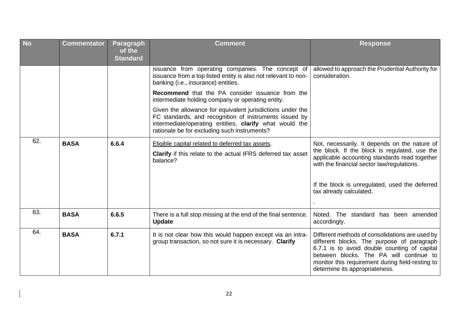| <b>No</b> | <b>Commentator</b> | <b>Paragraph</b><br>of the<br><b>Standard</b> | <b>Comment</b>                                                                                                                                                                                                                  | <b>Response</b>                                                                                                                                                                                                                                                                |
|-----------|--------------------|-----------------------------------------------|---------------------------------------------------------------------------------------------------------------------------------------------------------------------------------------------------------------------------------|--------------------------------------------------------------------------------------------------------------------------------------------------------------------------------------------------------------------------------------------------------------------------------|
|           |                    |                                               | issuance from operating companies. The concept of<br>issuance from a top listed entity is also not relevant to non-<br>banking (i.e., insurance) entities.                                                                      | allowed to approach the Prudential Authority for<br>consideration.                                                                                                                                                                                                             |
|           |                    |                                               | Recommend that the PA consider issuance from the<br>intermediate holding company or operating entity.                                                                                                                           |                                                                                                                                                                                                                                                                                |
|           |                    |                                               | Given the allowance for equivalent jurisdictions under the<br>FC standards, and recognition of instruments issued by<br>intermediate/operating entities, clarify what would the<br>rationale be for excluding such instruments? |                                                                                                                                                                                                                                                                                |
| 62.       | <b>BASA</b>        | 6.6.4                                         | Eligible capital related to deferred tax assets.<br>Clarify if this relate to the actual IFRS deferred tax asset<br>balance?                                                                                                    | Not, necessarily. It depends on the nature of<br>the block. If the block is regulated, use the<br>applicable accounting standards read together<br>with the financial sector law/regulations.                                                                                  |
|           |                    |                                               |                                                                                                                                                                                                                                 | If the block is unregulated, used the deferred<br>tax already calculated.                                                                                                                                                                                                      |
| 63.       | <b>BASA</b>        | 6.6.5                                         | There is a full stop missing at the end of the final sentence.<br><b>Update</b>                                                                                                                                                 | Noted. The standard has been amended<br>accordingly.                                                                                                                                                                                                                           |
| 64.       | <b>BASA</b>        | 6.7.1                                         | It is not clear how this would happen except via an intra-<br>group transaction, so not sure it is necessary. Clarify                                                                                                           | Different methods of consolidations are used by<br>different blocks. The purpose of paragraph<br>6.7.1 is to avoid double counting of capital<br>between blocks. The PA will continue to<br>monitor this requirement during field-resting to<br>determine its appropriateness. |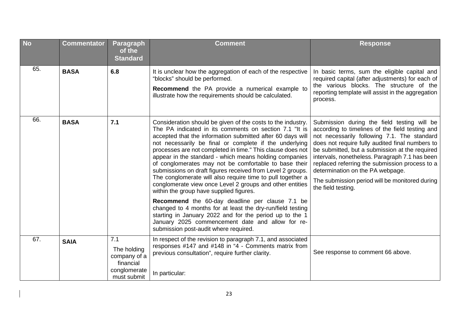| <b>No</b> | <b>Commentator</b> | Paragraph<br>of the<br><b>Standard</b>                                         | <b>Comment</b>                                                                                                                                                                                                                                                                                                                                                                                                                                                                                                                                                                                                                                                    | <b>Response</b>                                                                                                                                                                                                                                                                                                                                                                                                                                                    |
|-----------|--------------------|--------------------------------------------------------------------------------|-------------------------------------------------------------------------------------------------------------------------------------------------------------------------------------------------------------------------------------------------------------------------------------------------------------------------------------------------------------------------------------------------------------------------------------------------------------------------------------------------------------------------------------------------------------------------------------------------------------------------------------------------------------------|--------------------------------------------------------------------------------------------------------------------------------------------------------------------------------------------------------------------------------------------------------------------------------------------------------------------------------------------------------------------------------------------------------------------------------------------------------------------|
| 65.       | <b>BASA</b>        | 6.8                                                                            | It is unclear how the aggregation of each of the respective<br>"blocks" should be performed.<br><b>Recommend</b> the PA provide a numerical example to<br>illustrate how the requirements should be calculated.                                                                                                                                                                                                                                                                                                                                                                                                                                                   | In basic terms, sum the eligible capital and<br>required capital (after adjustments) for each of<br>the various blocks. The structure of the<br>reporting template will assist in the aggregation<br>process.                                                                                                                                                                                                                                                      |
| 66.       | <b>BASA</b>        | 7.1                                                                            | Consideration should be given of the costs to the industry.<br>The PA indicated in its comments on section 7.1 "It is<br>accepted that the information submitted after 60 days will<br>not necessarily be final or complete if the underlying<br>processes are not completed in time." This clause does not<br>appear in the standard - which means holding companies<br>of conglomerates may not be comfortable to base their<br>submissions on draft figures received from Level 2 groups.<br>The conglomerate will also require time to pull together a<br>conglomerate view once Level 2 groups and other entities<br>within the group have supplied figures. | Submission during the field testing will be<br>according to timelines of the field testing and<br>not necessarily following 7.1. The standard<br>does not require fully audited final numbers to<br>be submitted, but a submission at the required<br>intervals, nonetheless. Paragraph 7.1 has been<br>replaced referring the submission process to a<br>determination on the PA webpage.<br>The submission period will be monitored during<br>the field testing. |
|           |                    |                                                                                | Recommend the 60-day deadline per clause 7.1 be<br>changed to 4 months for at least the dry-run/field testing<br>starting in January 2022 and for the period up to the 1<br>January 2025 commencement date and allow for re-<br>submission post-audit where required.                                                                                                                                                                                                                                                                                                                                                                                             |                                                                                                                                                                                                                                                                                                                                                                                                                                                                    |
| 67.       | <b>SAIA</b>        | 7.1<br>The holding<br>company of a<br>financial<br>conglomerate<br>must submit | In respect of the revision to paragraph 7.1, and associated<br>responses #147 and #148 in "4 - Comments matrix from<br>previous consultation", require further clarity.<br>In particular:                                                                                                                                                                                                                                                                                                                                                                                                                                                                         | See response to comment 66 above.                                                                                                                                                                                                                                                                                                                                                                                                                                  |

 $\begin{array}{c} \hline \end{array}$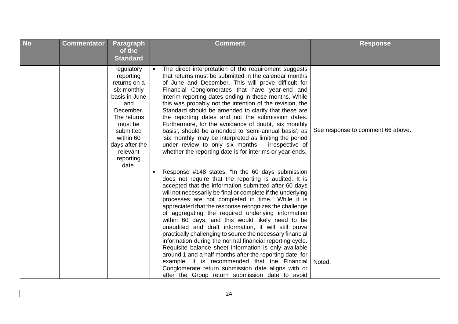| <b>No</b> | <b>Commentator</b> | Paragraph<br>of the<br><b>Standard</b>                                                                                                                                                              | <b>Comment</b>                                                                                                                                                                                                                                                                                                                                                                                                                                                                                                                                                                                                                                                                                                                                                                                                                                                                                                             | <b>Response</b>                   |
|-----------|--------------------|-----------------------------------------------------------------------------------------------------------------------------------------------------------------------------------------------------|----------------------------------------------------------------------------------------------------------------------------------------------------------------------------------------------------------------------------------------------------------------------------------------------------------------------------------------------------------------------------------------------------------------------------------------------------------------------------------------------------------------------------------------------------------------------------------------------------------------------------------------------------------------------------------------------------------------------------------------------------------------------------------------------------------------------------------------------------------------------------------------------------------------------------|-----------------------------------|
|           |                    | regulatory<br>reporting<br>returns on a<br>six monthly<br>basis in June<br>and<br>December.<br>The returns<br>must be<br>submitted<br>within 60<br>days after the<br>relevant<br>reporting<br>date. | The direct interpretation of the requirement suggests<br>that returns must be submitted in the calendar months<br>of June and December. This will prove difficult for<br>Financial Conglomerates that have year-end and<br>interim reporting dates ending in those months. While<br>this was probably not the intention of the revision, the<br>Standard should be amended to clarify that these are<br>the reporting dates and not the submission dates.<br>Furthermore, for the avoidance of doubt, 'six monthly<br>basis', should be amended to 'semi-annual basis', as<br>'six monthly' may be interpreted as limiting the period<br>under review to only six months - irrespective of<br>whether the reporting date is for interims or year-ends.                                                                                                                                                                     | See response to comment 66 above. |
|           |                    |                                                                                                                                                                                                     | Response #148 states, "In the 60 days submission<br>does not require that the reporting is audited. It is<br>accepted that the information submitted after 60 days<br>will not necessarily be final or complete if the underlying<br>processes are not completed in time." While it is<br>appreciated that the response recognizes the challenge<br>of aggregating the required underlying information<br>within 60 days, and this would likely need to be<br>unaudited and draft information, it will still prove<br>practically challenging to source the necessary financial<br>information during the normal financial reporting cycle.<br>Requisite balance sheet information is only available<br>around 1 and a half months after the reporting date, for<br>example. It is recommended that the Financial<br>Conglomerate return submission date aligns with or<br>after the Group return submission date to avoid | Noted.                            |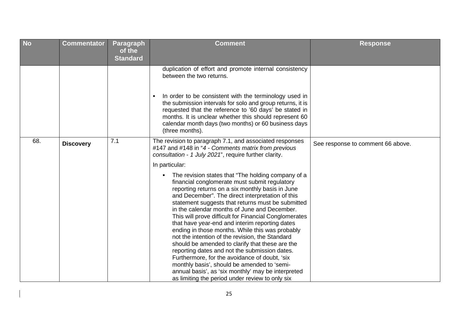| <b>No</b> | <b>Commentator</b> | <b>Paragraph</b><br>of the<br><b>Standard</b> | <b>Comment</b>                                                                                                                                                                                                                                                                                                                                                                                                                                                                                                                                                                                                                                                                                                                                                                                                                                      | <b>Response</b>                   |
|-----------|--------------------|-----------------------------------------------|-----------------------------------------------------------------------------------------------------------------------------------------------------------------------------------------------------------------------------------------------------------------------------------------------------------------------------------------------------------------------------------------------------------------------------------------------------------------------------------------------------------------------------------------------------------------------------------------------------------------------------------------------------------------------------------------------------------------------------------------------------------------------------------------------------------------------------------------------------|-----------------------------------|
|           |                    |                                               | duplication of effort and promote internal consistency<br>between the two returns.                                                                                                                                                                                                                                                                                                                                                                                                                                                                                                                                                                                                                                                                                                                                                                  |                                   |
|           |                    |                                               | In order to be consistent with the terminology used in<br>the submission intervals for solo and group returns, it is<br>requested that the reference to '60 days' be stated in<br>months. It is unclear whether this should represent 60<br>calendar month days (two months) or 60 business days<br>(three months).                                                                                                                                                                                                                                                                                                                                                                                                                                                                                                                                 |                                   |
| 68.       | <b>Discovery</b>   | 7.1                                           | The revision to paragraph 7.1, and associated responses<br>#147 and #148 in "4 - Comments matrix from previous<br>consultation - 1 July 2021", require further clarity.                                                                                                                                                                                                                                                                                                                                                                                                                                                                                                                                                                                                                                                                             | See response to comment 66 above. |
|           |                    |                                               | In particular:                                                                                                                                                                                                                                                                                                                                                                                                                                                                                                                                                                                                                                                                                                                                                                                                                                      |                                   |
|           |                    |                                               | The revision states that "The holding company of a<br>٠<br>financial conglomerate must submit regulatory<br>reporting returns on a six monthly basis in June<br>and December". The direct interpretation of this<br>statement suggests that returns must be submitted<br>in the calendar months of June and December.<br>This will prove difficult for Financial Conglomerates<br>that have year-end and interim reporting dates<br>ending in those months. While this was probably<br>not the intention of the revision, the Standard<br>should be amended to clarify that these are the<br>reporting dates and not the submission dates.<br>Furthermore, for the avoidance of doubt, 'six<br>monthly basis', should be amended to 'semi-<br>annual basis', as 'six monthly' may be interpreted<br>as limiting the period under review to only six |                                   |

 $\overline{\phantom{a}}$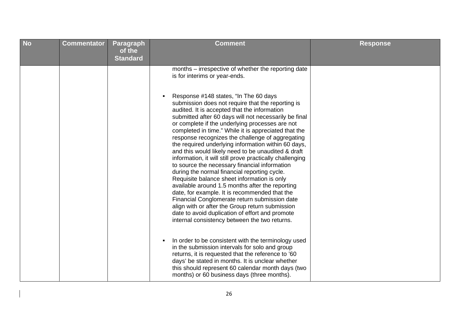| <b>No</b><br><b>Commentator</b><br>Paragraph<br><b>Comment</b><br><b>Response</b><br>of the<br><b>Standard</b>                                                                                                                                                                                                                                                                                                                                                                                                                                                                                                                                                                                                                                                                                                                                                                                                                                                                                                                                                                                                                                                                                                                                                                                                                                                                                                                                |  |
|-----------------------------------------------------------------------------------------------------------------------------------------------------------------------------------------------------------------------------------------------------------------------------------------------------------------------------------------------------------------------------------------------------------------------------------------------------------------------------------------------------------------------------------------------------------------------------------------------------------------------------------------------------------------------------------------------------------------------------------------------------------------------------------------------------------------------------------------------------------------------------------------------------------------------------------------------------------------------------------------------------------------------------------------------------------------------------------------------------------------------------------------------------------------------------------------------------------------------------------------------------------------------------------------------------------------------------------------------------------------------------------------------------------------------------------------------|--|
| months – irrespective of whether the reporting date<br>is for interims or year-ends.<br>Response #148 states, "In The 60 days<br>$\blacksquare$<br>submission does not require that the reporting is<br>audited. It is accepted that the information<br>submitted after 60 days will not necessarily be final<br>or complete if the underlying processes are not<br>completed in time." While it is appreciated that the<br>response recognizes the challenge of aggregating<br>the required underlying information within 60 days,<br>and this would likely need to be unaudited & draft<br>information, it will still prove practically challenging<br>to source the necessary financial information<br>during the normal financial reporting cycle.<br>Requisite balance sheet information is only<br>available around 1.5 months after the reporting<br>date, for example. It is recommended that the<br>Financial Conglomerate return submission date<br>align with or after the Group return submission<br>date to avoid duplication of effort and promote<br>internal consistency between the two returns.<br>In order to be consistent with the terminology used<br>٠<br>in the submission intervals for solo and group<br>returns, it is requested that the reference to '60<br>days' be stated in months. It is unclear whether<br>this should represent 60 calendar month days (two<br>months) or 60 business days (three months). |  |